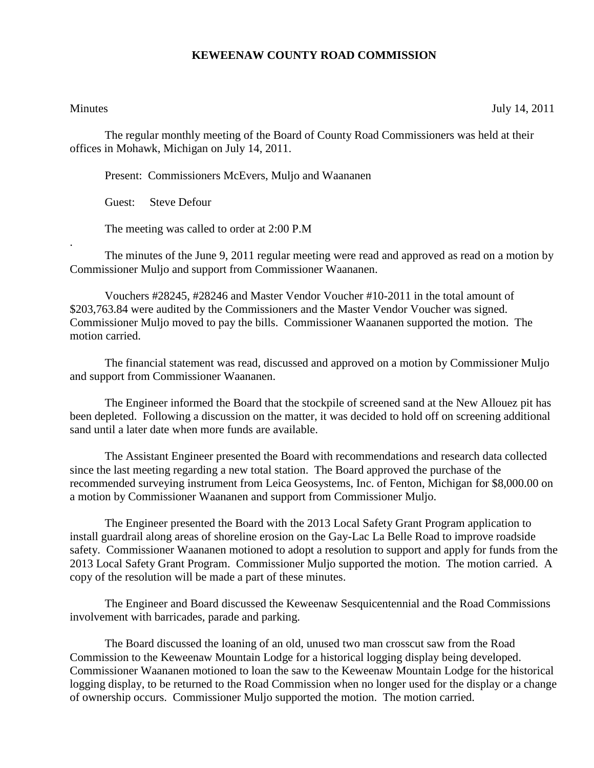## **KEWEENAW COUNTY ROAD COMMISSION**

.

Minutes July 14, 2011

The regular monthly meeting of the Board of County Road Commissioners was held at their offices in Mohawk, Michigan on July 14, 2011.

Present: Commissioners McEvers, Muljo and Waananen

Guest: Steve Defour

The meeting was called to order at 2:00 P.M

The minutes of the June 9, 2011 regular meeting were read and approved as read on a motion by Commissioner Muljo and support from Commissioner Waananen.

Vouchers #28245, #28246 and Master Vendor Voucher #10-2011 in the total amount of \$203,763.84 were audited by the Commissioners and the Master Vendor Voucher was signed. Commissioner Muljo moved to pay the bills. Commissioner Waananen supported the motion. The motion carried.

The financial statement was read, discussed and approved on a motion by Commissioner Muljo and support from Commissioner Waananen.

The Engineer informed the Board that the stockpile of screened sand at the New Allouez pit has been depleted. Following a discussion on the matter, it was decided to hold off on screening additional sand until a later date when more funds are available.

The Assistant Engineer presented the Board with recommendations and research data collected since the last meeting regarding a new total station. The Board approved the purchase of the recommended surveying instrument from Leica Geosystems, Inc. of Fenton, Michigan for \$8,000.00 on a motion by Commissioner Waananen and support from Commissioner Muljo.

The Engineer presented the Board with the 2013 Local Safety Grant Program application to install guardrail along areas of shoreline erosion on the Gay-Lac La Belle Road to improve roadside safety. Commissioner Waananen motioned to adopt a resolution to support and apply for funds from the 2013 Local Safety Grant Program. Commissioner Muljo supported the motion. The motion carried. A copy of the resolution will be made a part of these minutes.

The Engineer and Board discussed the Keweenaw Sesquicentennial and the Road Commissions involvement with barricades, parade and parking.

The Board discussed the loaning of an old, unused two man crosscut saw from the Road Commission to the Keweenaw Mountain Lodge for a historical logging display being developed. Commissioner Waananen motioned to loan the saw to the Keweenaw Mountain Lodge for the historical logging display, to be returned to the Road Commission when no longer used for the display or a change of ownership occurs. Commissioner Muljo supported the motion. The motion carried.